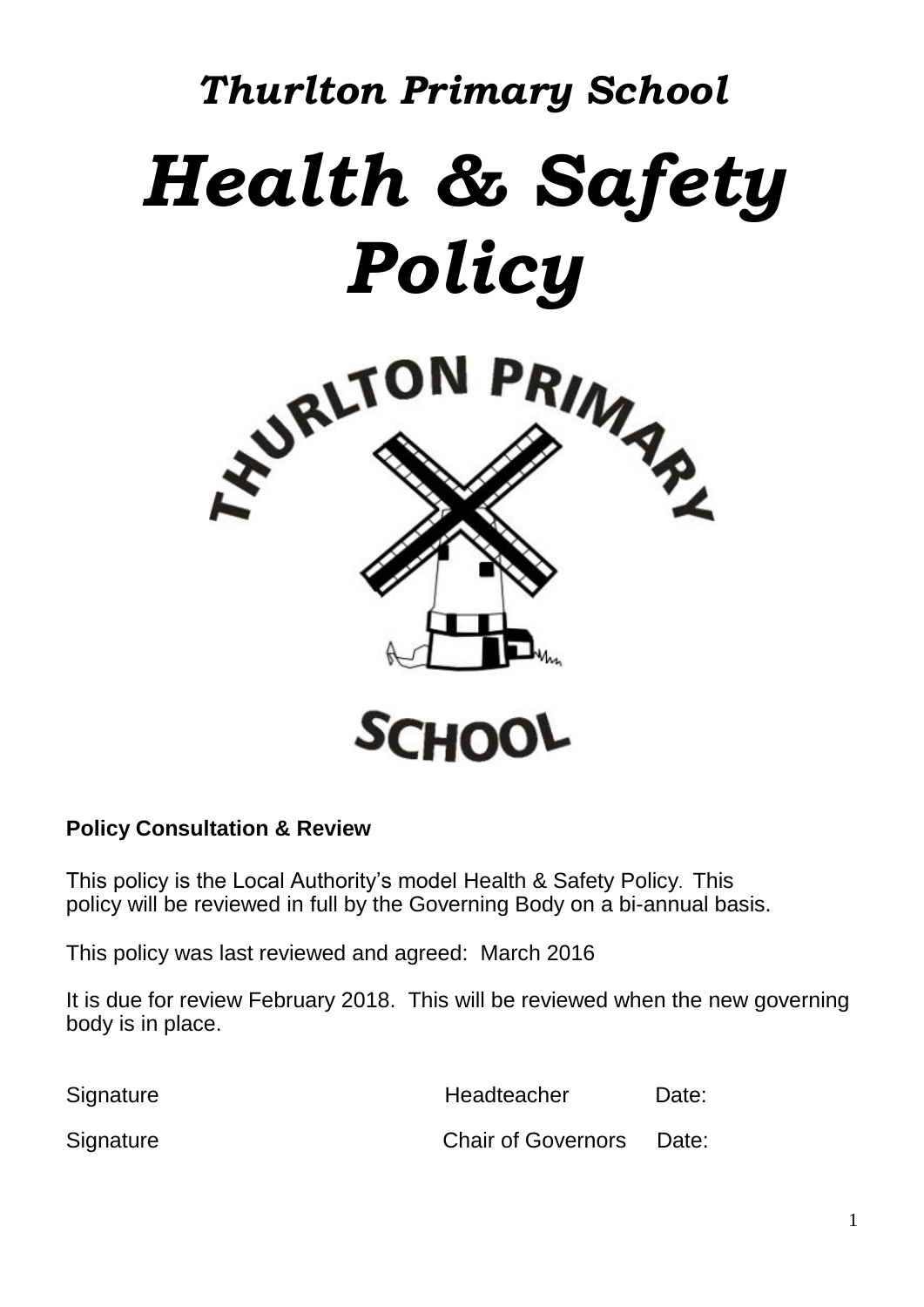# *Thurlton Primary School Health & Safety Policy*



# **Policy Consultation & Review**

This policy is the Local Authority's model Health & Safety Policy. This policy will be reviewed in full by the Governing Body on a bi-annual basis.

This policy was last reviewed and agreed: March 2016

It is due for review February 2018. This will be reviewed when the new governing body is in place.

Signature **Headteacher** Date:

Signature Chair of Governors Date: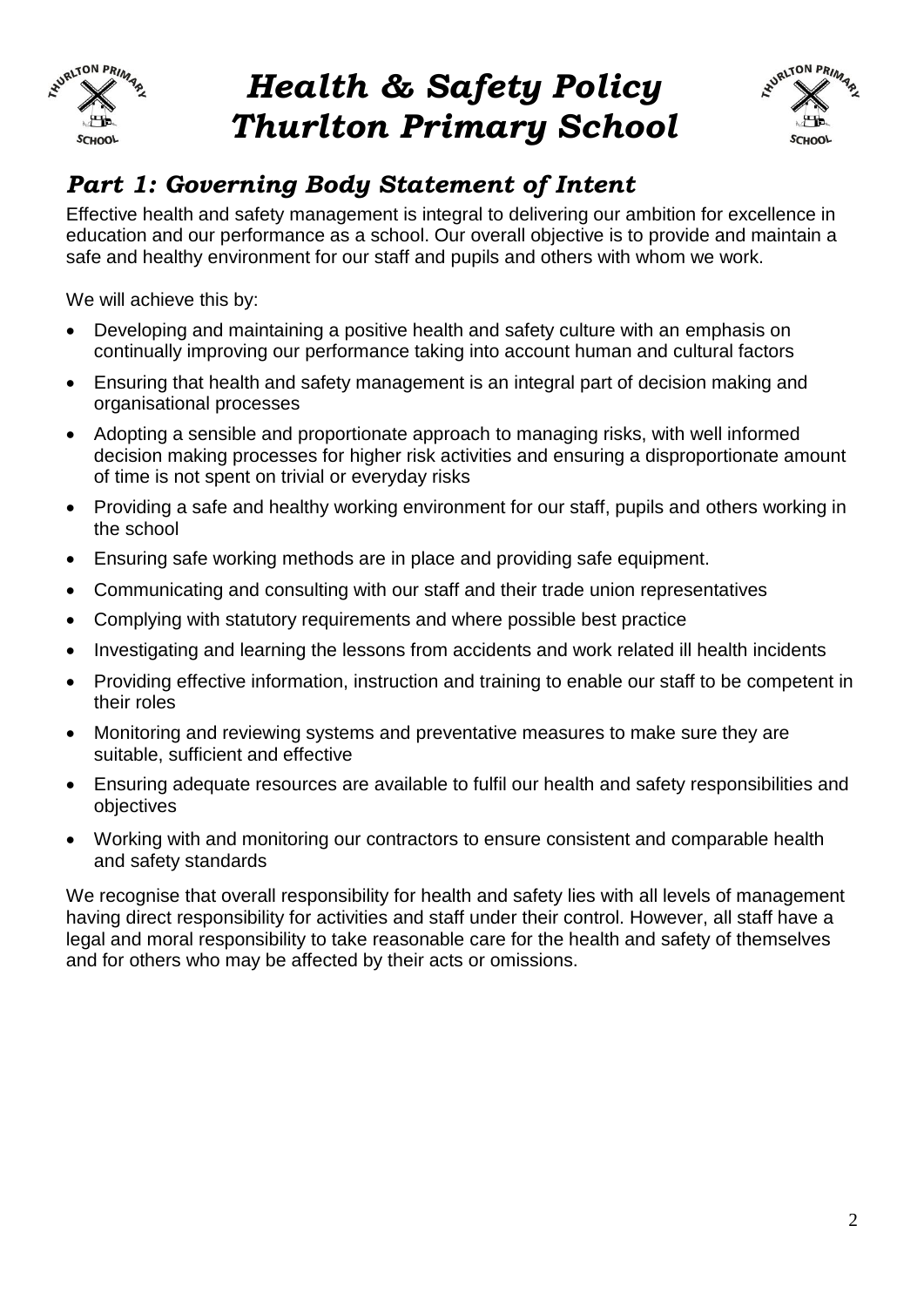

# *Health & Safety Policy Thurlton Primary School*



# *Part 1: Governing Body Statement of Intent*

Effective health and safety management is integral to delivering our ambition for excellence in education and our performance as a school. Our overall objective is to provide and maintain a safe and healthy environment for our staff and pupils and others with whom we work.

We will achieve this by:

- Developing and maintaining a positive health and safety culture with an emphasis on continually improving our performance taking into account human and cultural factors
- Ensuring that health and safety management is an integral part of decision making and organisational processes
- Adopting a sensible and proportionate approach to managing risks, with well informed decision making processes for higher risk activities and ensuring a disproportionate amount of time is not spent on trivial or everyday risks
- Providing a safe and healthy working environment for our staff, pupils and others working in the school
- Ensuring safe working methods are in place and providing safe equipment.
- Communicating and consulting with our staff and their trade union representatives
- Complying with statutory requirements and where possible best practice
- Investigating and learning the lessons from accidents and work related ill health incidents
- Providing effective information, instruction and training to enable our staff to be competent in their roles
- Monitoring and reviewing systems and preventative measures to make sure they are suitable, sufficient and effective
- Ensuring adequate resources are available to fulfil our health and safety responsibilities and objectives
- Working with and monitoring our contractors to ensure consistent and comparable health and safety standards

We recognise that overall responsibility for health and safety lies with all levels of management having direct responsibility for activities and staff under their control. However, all staff have a legal and moral responsibility to take reasonable care for the health and safety of themselves and for others who may be affected by their acts or omissions.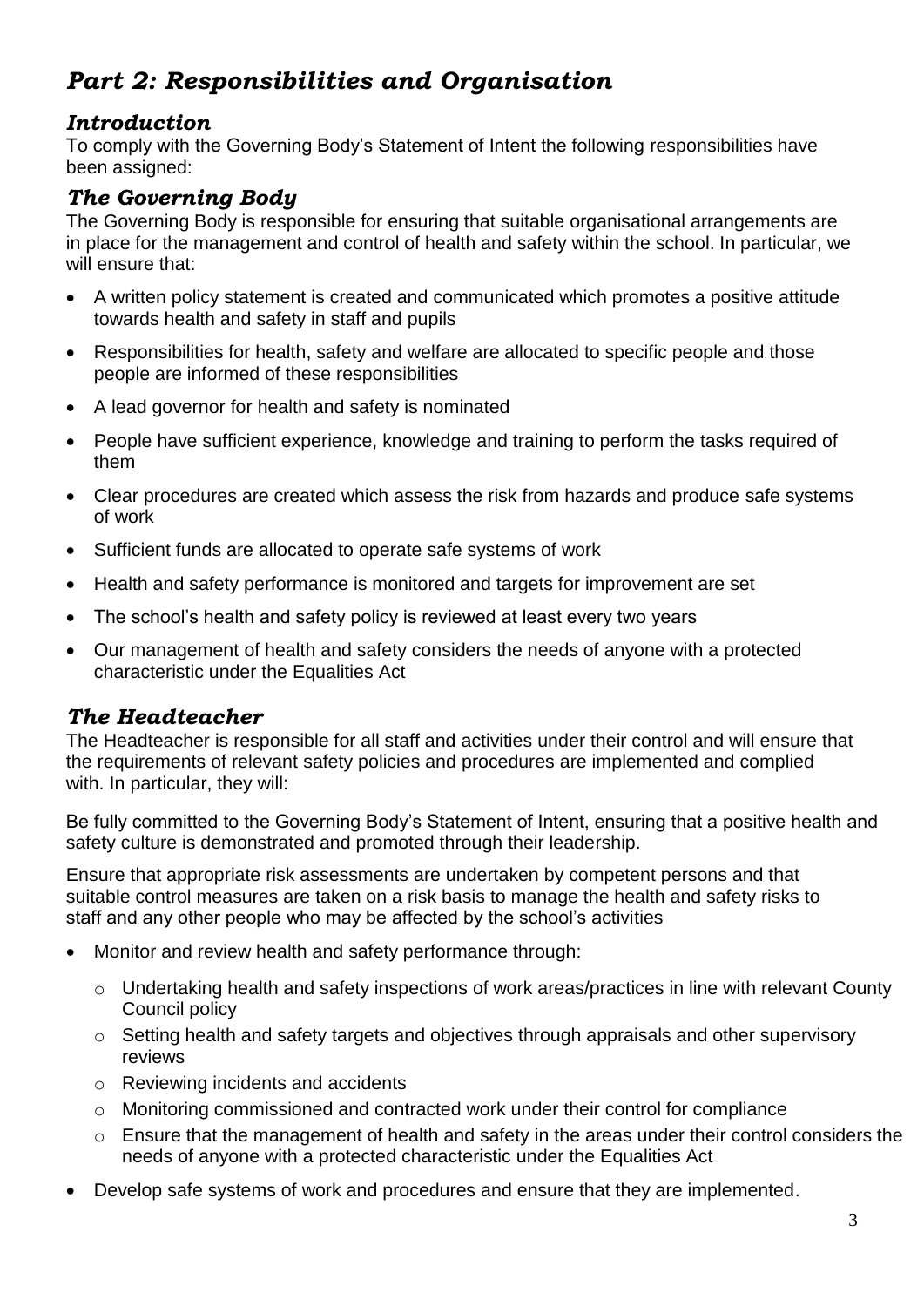# *Part 2: Responsibilities and Organisation*

# *Introduction*

To comply with the Governing Body's Statement of Intent the following responsibilities have been assigned:

# *The Governing Body*

The Governing Body is responsible for ensuring that suitable organisational arrangements are in place for the management and control of health and safety within the school. In particular, we will ensure that:

- A written policy statement is created and communicated which promotes a positive attitude towards health and safety in staff and pupils
- Responsibilities for health, safety and welfare are allocated to specific people and those people are informed of these responsibilities
- A lead governor for health and safety is nominated
- People have sufficient experience, knowledge and training to perform the tasks required of them
- Clear procedures are created which assess the risk from hazards and produce safe systems of work
- Sufficient funds are allocated to operate safe systems of work
- Health and safety performance is monitored and targets for improvement are set
- The school's health and safety policy is reviewed at least every two years
- Our management of health and safety considers the needs of anyone with a protected characteristic under the Equalities Act

# *The Headteacher*

The Headteacher is responsible for all staff and activities under their control and will ensure that the requirements of relevant safety policies and procedures are implemented and complied with. In particular, they will:

Be fully committed to the Governing Body's Statement of Intent, ensuring that a positive health and safety culture is demonstrated and promoted through their leadership.

Ensure that appropriate risk assessments are undertaken by competent persons and that suitable control measures are taken on a risk basis to manage the health and safety risks to staff and any other people who may be affected by the school's activities

- Monitor and review health and safety performance through:
	- $\circ$  Undertaking health and safety inspections of work areas/practices in line with relevant County Council policy
	- o Setting health and safety targets and objectives through appraisals and other supervisory reviews
	- o Reviewing incidents and accidents
	- o Monitoring commissioned and contracted work under their control for compliance
	- o Ensure that the management of health and safety in the areas under their control considers the needs of anyone with a protected characteristic under the Equalities Act
- Develop safe systems of work and procedures and ensure that they are implemented.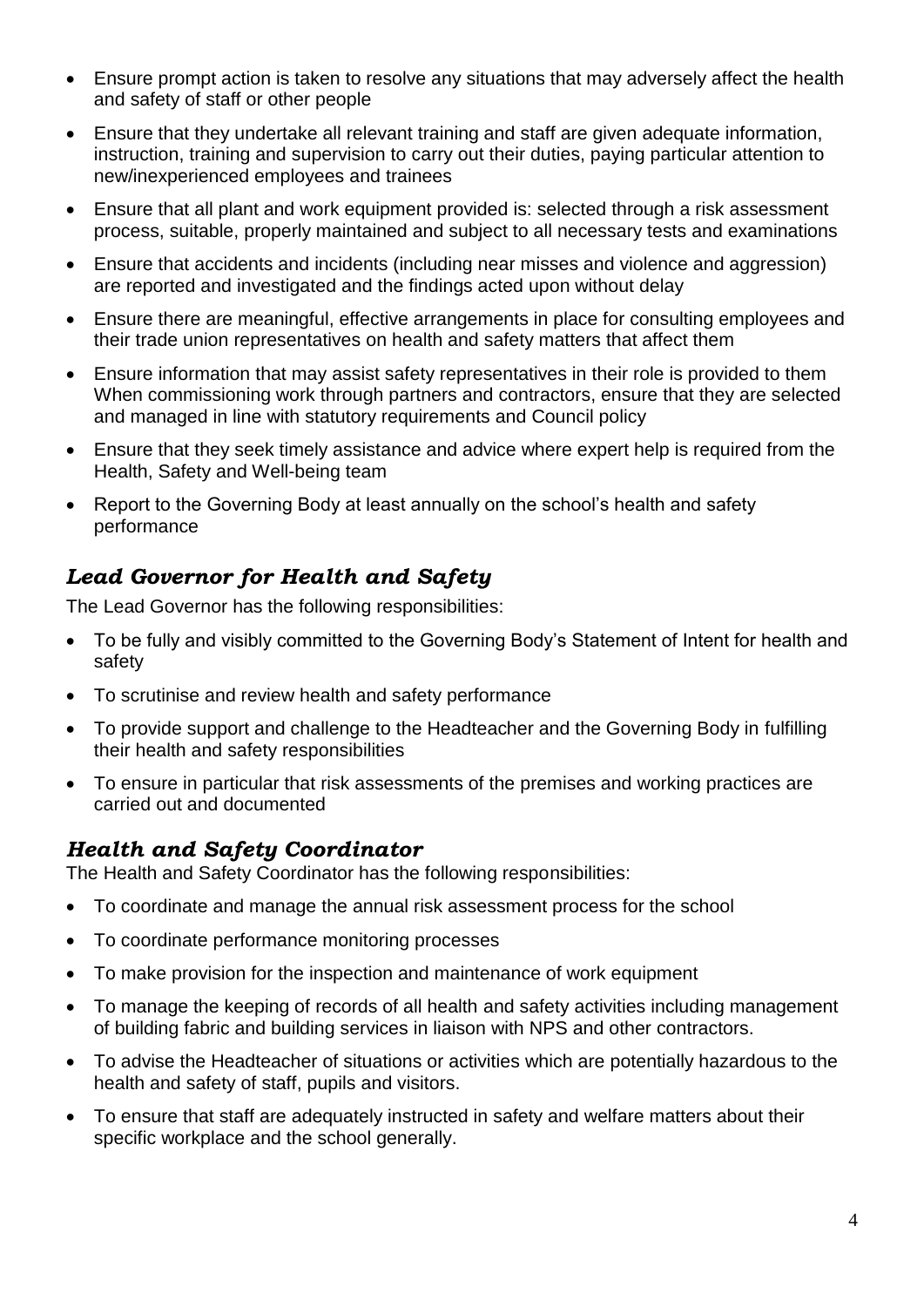- Ensure prompt action is taken to resolve any situations that may adversely affect the health and safety of staff or other people
- Ensure that they undertake all relevant training and staff are given adequate information, instruction, training and supervision to carry out their duties, paying particular attention to new/inexperienced employees and trainees
- Ensure that all plant and work equipment provided is: selected through a risk assessment process, suitable, properly maintained and subject to all necessary tests and examinations
- Ensure that accidents and incidents (including near misses and violence and aggression) are reported and investigated and the findings acted upon without delay
- Ensure there are meaningful, effective arrangements in place for consulting employees and their trade union representatives on health and safety matters that affect them
- Ensure information that may assist safety representatives in their role is provided to them When commissioning work through partners and contractors, ensure that they are selected and managed in line with statutory requirements and Council policy
- Ensure that they seek timely assistance and advice where expert help is required from the Health, Safety and Well-being team
- Report to the Governing Body at least annually on the school's health and safety performance

# *Lead Governor for Health and Safety*

The Lead Governor has the following responsibilities:

- To be fully and visibly committed to the Governing Body's Statement of Intent for health and safety
- To scrutinise and review health and safety performance
- To provide support and challenge to the Headteacher and the Governing Body in fulfilling their health and safety responsibilities
- To ensure in particular that risk assessments of the premises and working practices are carried out and documented

# *Health and Safety Coordinator*

The Health and Safety Coordinator has the following responsibilities:

- To coordinate and manage the annual risk assessment process for the school
- To coordinate performance monitoring processes
- To make provision for the inspection and maintenance of work equipment
- To manage the keeping of records of all health and safety activities including management of building fabric and building services in liaison with NPS and other contractors.
- To advise the Headteacher of situations or activities which are potentially hazardous to the health and safety of staff, pupils and visitors.
- To ensure that staff are adequately instructed in safety and welfare matters about their specific workplace and the school generally.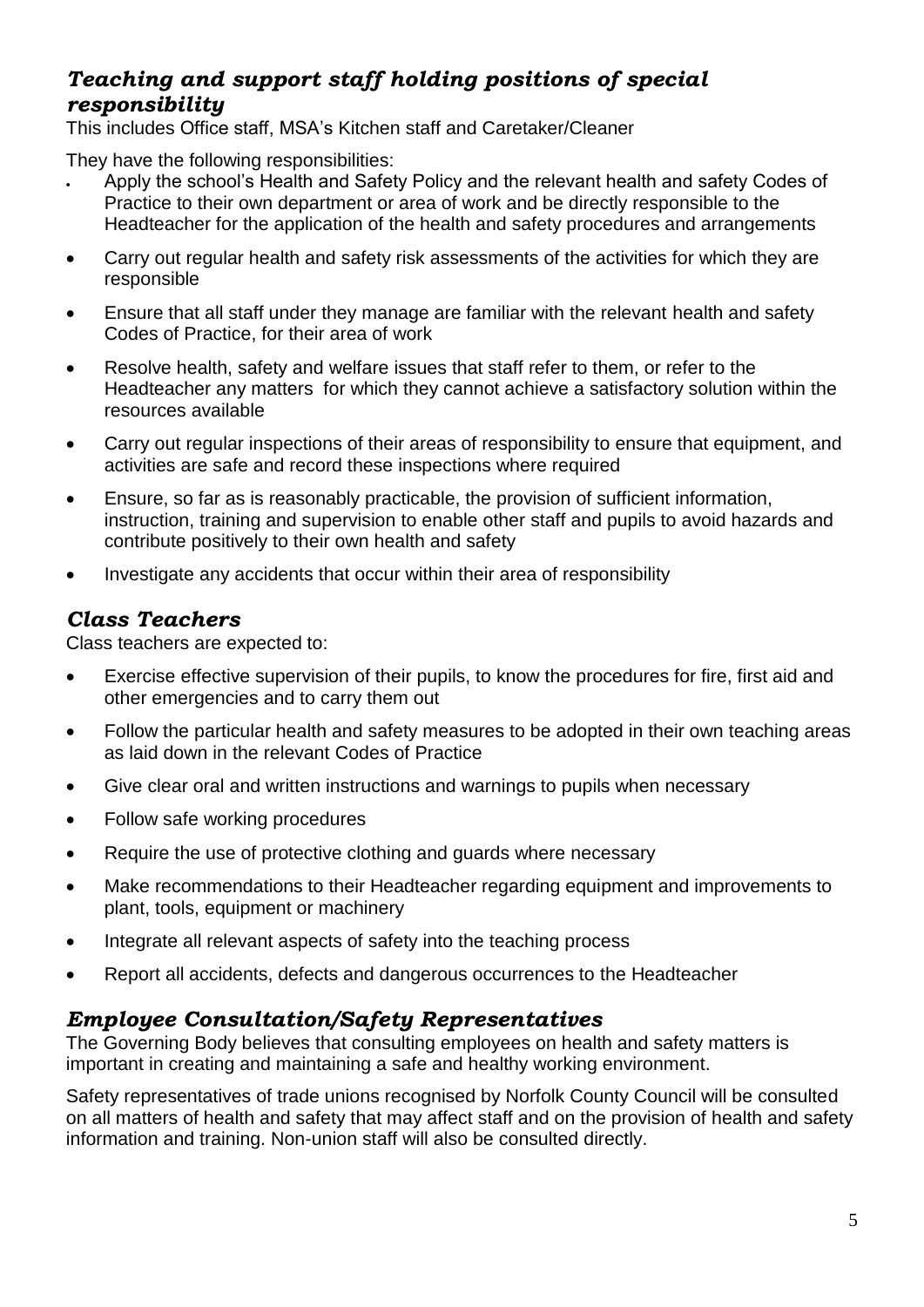# *Teaching and support staff holding positions of special responsibility*

This includes Office staff, MSA's Kitchen staff and Caretaker/Cleaner

They have the following responsibilities:

- Apply the school's Health and Safety Policy and the relevant health and safety Codes of Practice to their own department or area of work and be directly responsible to the Headteacher for the application of the health and safety procedures and arrangements
- Carry out regular health and safety risk assessments of the activities for which they are responsible
- Ensure that all staff under they manage are familiar with the relevant health and safety Codes of Practice, for their area of work
- Resolve health, safety and welfare issues that staff refer to them, or refer to the Headteacher any matters for which they cannot achieve a satisfactory solution within the resources available
- Carry out regular inspections of their areas of responsibility to ensure that equipment, and activities are safe and record these inspections where required
- Ensure, so far as is reasonably practicable, the provision of sufficient information, instruction, training and supervision to enable other staff and pupils to avoid hazards and contribute positively to their own health and safety
- Investigate any accidents that occur within their area of responsibility

# *Class Teachers*

Class teachers are expected to:

- Exercise effective supervision of their pupils, to know the procedures for fire, first aid and other emergencies and to carry them out
- Follow the particular health and safety measures to be adopted in their own teaching areas as laid down in the relevant Codes of Practice
- Give clear oral and written instructions and warnings to pupils when necessary
- Follow safe working procedures
- Require the use of protective clothing and quards where necessary
- Make recommendations to their Headteacher regarding equipment and improvements to plant, tools, equipment or machinery
- Integrate all relevant aspects of safety into the teaching process
- Report all accidents, defects and dangerous occurrences to the Headteacher

# *Employee Consultation/Safety Representatives*

The Governing Body believes that consulting employees on health and safety matters is important in creating and maintaining a safe and healthy working environment.

Safety representatives of trade unions recognised by Norfolk County Council will be consulted on all matters of health and safety that may affect staff and on the provision of health and safety information and training. Non-union staff will also be consulted directly.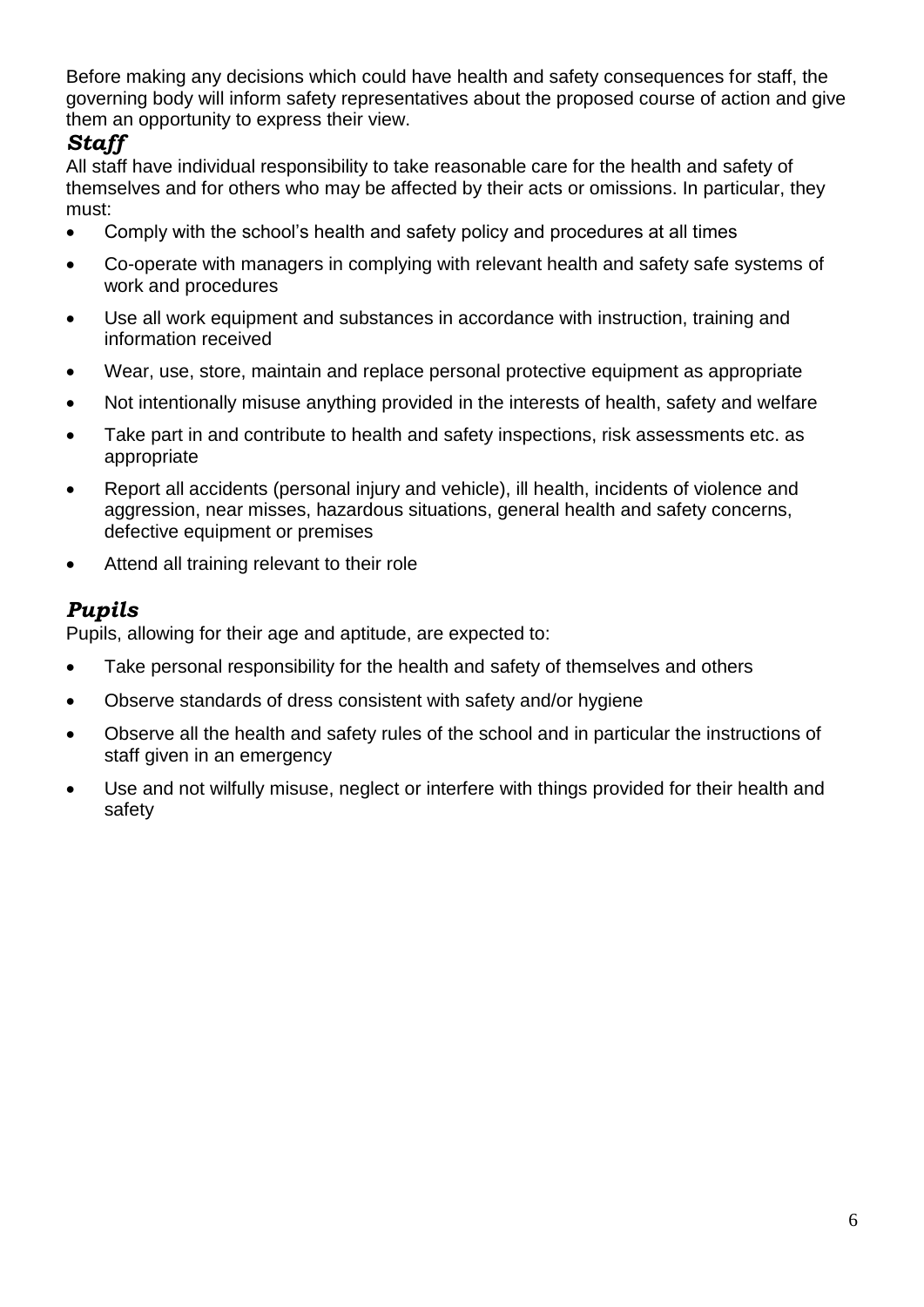Before making any decisions which could have health and safety consequences for staff, the governing body will inform safety representatives about the proposed course of action and give them an opportunity to express their view.

# *Staff*

All staff have individual responsibility to take reasonable care for the health and safety of themselves and for others who may be affected by their acts or omissions. In particular, they must:

- Comply with the school's health and safety policy and procedures at all times
- Co-operate with managers in complying with relevant health and safety safe systems of work and procedures
- Use all work equipment and substances in accordance with instruction, training and information received
- Wear, use, store, maintain and replace personal protective equipment as appropriate
- Not intentionally misuse anything provided in the interests of health, safety and welfare
- Take part in and contribute to health and safety inspections, risk assessments etc. as appropriate
- Report all accidents (personal injury and vehicle), ill health, incidents of violence and aggression, near misses, hazardous situations, general health and safety concerns, defective equipment or premises
- Attend all training relevant to their role

# *Pupils*

Pupils, allowing for their age and aptitude, are expected to:

- Take personal responsibility for the health and safety of themselves and others
- Observe standards of dress consistent with safety and/or hygiene
- Observe all the health and safety rules of the school and in particular the instructions of staff given in an emergency
- Use and not wilfully misuse, neglect or interfere with things provided for their health and safety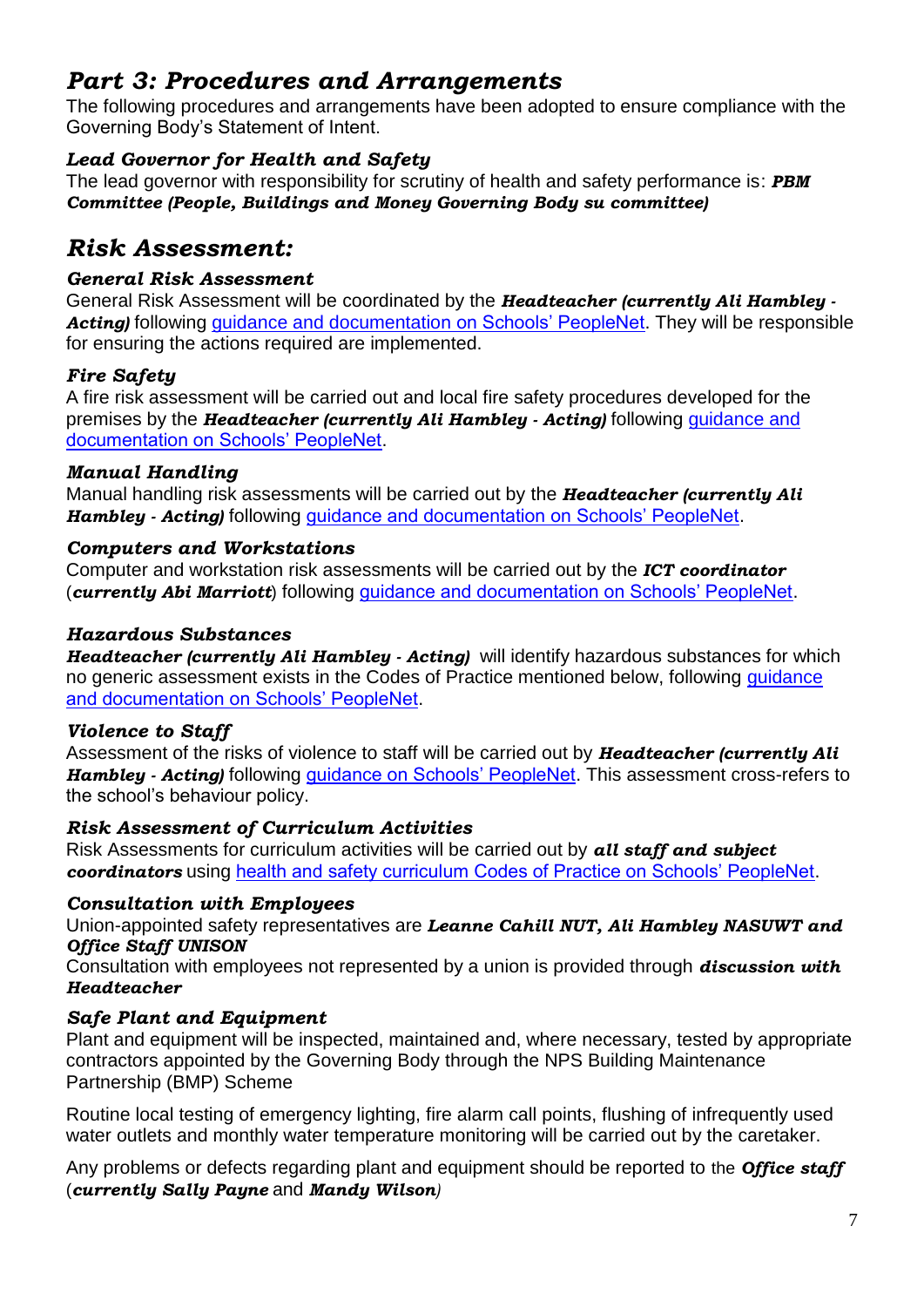# *Part 3: Procedures and Arrangements*

The following procedures and arrangements have been adopted to ensure compliance with the Governing Body's Statement of Intent.

### *Lead Governor for Health and Safety*

The lead governor with responsibility for scrutiny of health and safety performance is: *PBM Committee (People, Buildings and Money Governing Body su committee)*

# *Risk Assessment:*

### *General Risk Assessment*

General Risk Assessment will be coordinated by the *Headteacher (currently Ali Hambley*  Acting) following [guidance and documentation on Schools' PeopleNet.](http://www.schoolspeoplenet.norfolk.gov.uk/Manager/Managing-health-safety-and-wellbeing/Health-and-safety/General-risk-assessment/index.htm) They will be responsible for ensuring the actions required are implemented.

### *Fire Safety*

A fire risk assessment will be carried out and local fire safety procedures developed for the premises by the *Headteacher (currently Ali Hambley - Acting)* following [guidance and](http://www.schoolspeoplenet.norfolk.gov.uk/Manager/Managing-health-safety-and-wellbeing/Health-and-safety/Incidents-and-emergencies/Fire-safety/index.htm)  [documentation on Schools' PeopleNet.](http://www.schoolspeoplenet.norfolk.gov.uk/Manager/Managing-health-safety-and-wellbeing/Health-and-safety/Incidents-and-emergencies/Fire-safety/index.htm)

### *Manual Handling*

Manual handling risk assessments will be carried out by the *Headteacher (currently Ali Hambley - Acting)* following [guidance and documentation on Schools' PeopleNet.](http://www.schoolspeoplenet.norfolk.gov.uk/Manager/Managing-health-safety-and-wellbeing/Health-and-safety/Work-activities/Moving-and-handling/index.htm)

### *Computers and Workstations*

Computer and workstation risk assessments will be carried out by the *ICT coordinator* (*currently Abi Marriott*) following [guidance and documentation on Schools' PeopleNet.](http://www.schoolspeoplenet.norfolk.gov.uk/Manager/Managing-health-safety-and-wellbeing/Health-and-safety/Work-Equipment/Computer-and-workstation-safety/index.htm)

### *Hazardous Substances*

*Headteacher (currently Ali Hambley - Acting)* will identify hazardous substances for which no generic assessment exists in the Codes of Practice mentioned below, following [guidance](http://www.schoolspeoplenet.norfolk.gov.uk/Manager/Managing-health-safety-and-wellbeing/Health-and-safety/Work-activities/Hazardous-substances-and-chemicals/index.htm)  [and documentation on Schools' PeopleNet.](http://www.schoolspeoplenet.norfolk.gov.uk/Manager/Managing-health-safety-and-wellbeing/Health-and-safety/Work-activities/Hazardous-substances-and-chemicals/index.htm)

### *Violence to Staff*

Assessment of the risks of violence to staff will be carried out by *Headteacher (currently Ali Hambley - Acting)* following [guidance on Schools' PeopleNet.](http://www.schoolspeoplenet.norfolk.gov.uk/Manager/Managing-health-safety-and-wellbeing/Health-and-safety/People/Violence-at-work/index.htm) This assessment cross-refers to the school's behaviour policy.

### *Risk Assessment of Curriculum Activities*

Risk Assessments for curriculum activities will be carried out by *all staff and subject coordinators* using [health and safety curriculum Codes of Practice on Schools' PeopleNet.](http://www.schoolspeoplenet.norfolk.gov.uk/Manager/Managing-health-safety-and-wellbeing/Health-and-safety/Curriculum-codes-of-practice/index.htm)

### *Consultation with Employees*

Union-appointed safety representatives are *Leanne Cahill NUT, Ali Hambley NASUWT and Office Staff UNISON*

Consultation with employees not represented by a union is provided through *discussion with Headteacher*

### *Safe Plant and Equipment*

Plant and equipment will be inspected, maintained and, where necessary, tested by appropriate contractors appointed by the Governing Body through the NPS Building Maintenance Partnership (BMP) Scheme

Routine local testing of emergency lighting, fire alarm call points, flushing of infrequently used water outlets and monthly water temperature monitoring will be carried out by the caretaker.

Any problems or defects regarding plant and equipment should be reported to the *Office staff*  (*currently Sally Payne* and *Mandy Wilson)*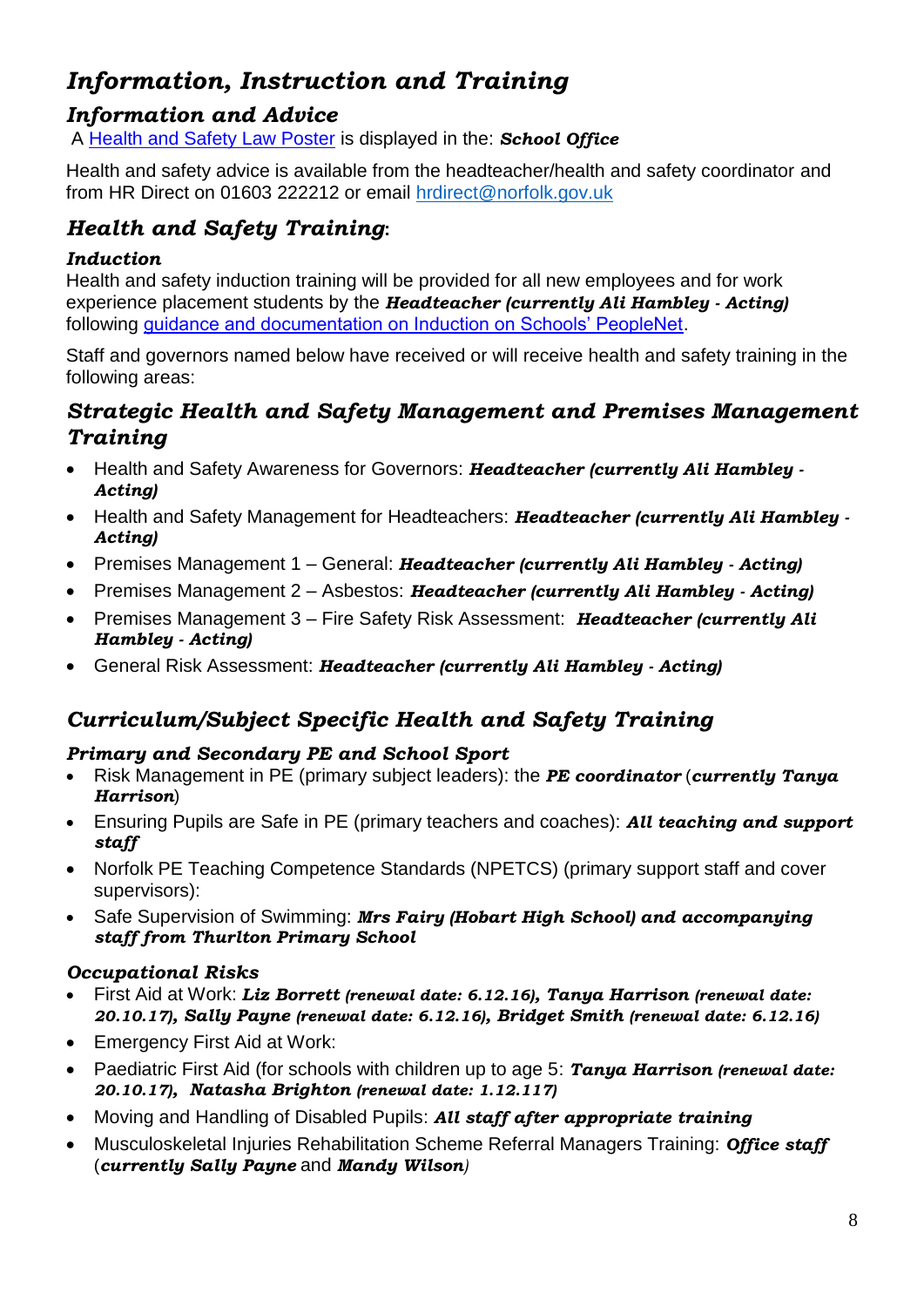# *Information, Instruction and Training*

# *Information and Advice*

A [Health and Safety Law Poster](http://www.hse.gov.uk/pubns/books/lawposter.htm) is displayed in the: *School Office*

Health and safety advice is available from the headteacher/health and safety coordinator and from HR Direct on 01603 222212 or email [hrdirect@norfolk.gov.uk](mailto:hrdirect@norfolk.gov.uk)

# *Health and Safety Training***:**

### *Induction*

Health and safety induction training will be provided for all new employees and for work experience placement students by the *Headteacher (currently Ali Hambley - Acting)*  following [guidance and documentation on Induction on Schools' PeopleNet.](http://www.schoolspeoplenet.norfolk.gov.uk/Manager/Welcoming-a-new-member-of-staff/Induction/index.htm)

Staff and governors named below have received or will receive health and safety training in the following areas:

# *Strategic Health and Safety Management and Premises Management Training*

- Health and Safety Awareness for Governors: *Headteacher (currently Ali Hambley - Acting)*
- Health and Safety Management for Headteachers: *Headteacher (currently Ali Hambley - Acting)*
- Premises Management 1 General: *Headteacher (currently Ali Hambley - Acting)*
- Premises Management 2 Asbestos: *Headteacher (currently Ali Hambley - Acting)*
- Premises Management 3 Fire Safety Risk Assessment: *Headteacher (currently Ali Hambley - Acting)*
- General Risk Assessment: *Headteacher (currently Ali Hambley - Acting)*

# *Curriculum/Subject Specific Health and Safety Training*

### *Primary and Secondary PE and School Sport*

- Risk Management in PE (primary subject leaders): the *PE coordinator* (*currently Tanya Harrison*)
- Ensuring Pupils are Safe in PE (primary teachers and coaches): *All teaching and support staff*
- Norfolk PE Teaching Competence Standards (NPETCS) (primary support staff and cover supervisors):
- Safe Supervision of Swimming: *Mrs Fairy (Hobart High School) and accompanying staff from Thurlton Primary School*

### *Occupational Risks*

- First Aid at Work: *Liz Borrett (renewal date: 6.12.16), Tanya Harrison (renewal date: 20.10.17), Sally Payne (renewal date: 6.12.16), Bridget Smith (renewal date: 6.12.16)*
- Emergency First Aid at Work:
- Paediatric First Aid (for schools with children up to age 5: *Tanya Harrison (renewal date: 20.10.17), Natasha Brighton (renewal date: 1.12.117)*
- Moving and Handling of Disabled Pupils: *All staff after appropriate training*
- Musculoskeletal Injuries Rehabilitation Scheme Referral Managers Training: *Office staff*  (*currently Sally Payne* and *Mandy Wilson)*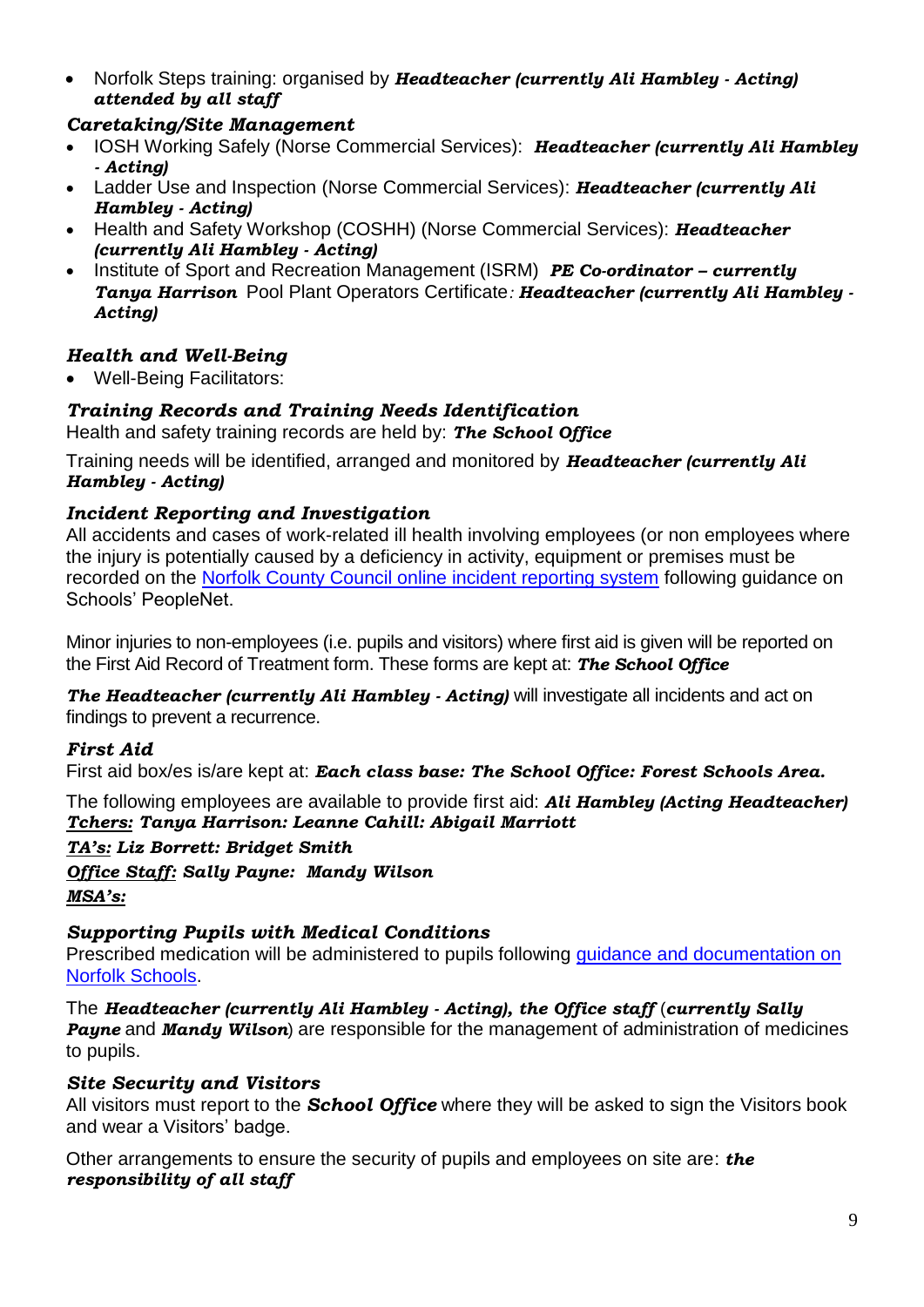Norfolk Steps training: organised by *Headteacher (currently Ali Hambley - Acting) attended by all staff*

### *Caretaking/Site Management*

- IOSH Working Safely (Norse Commercial Services): *Headteacher (currently Ali Hambley - Acting)*
- Ladder Use and Inspection (Norse Commercial Services): *Headteacher (currently Ali Hambley - Acting)*
- Health and Safety Workshop (COSHH) (Norse Commercial Services): *Headteacher (currently Ali Hambley - Acting)*
- Institute of Sport and Recreation Management (ISRM) *PE Co-ordinator – currently Tanya Harrison* Pool Plant Operators Certificate*: Headteacher (currently Ali Hambley - Acting)*

### *Health and Well-Being*

Well-Being Facilitators:

### *Training Records and Training Needs Identification*

Health and safety training records are held by: *The School Office*

Training needs will be identified, arranged and monitored by *Headteacher (currently Ali Hambley - Acting)*

### *Incident Reporting and Investigation*

All accidents and cases of work-related ill health involving employees (or non employees where the injury is potentially caused by a deficiency in activity, equipment or premises must be recorded on the [Norfolk County Council online incident reporting system](http://www.schoolspeoplenet.norfolk.gov.uk/Manager/Managing-health-safety-and-wellbeing/Health-and-safety/Incidents-and-emergencies/Accident-and-incident-reporting/index.htm) following guidance on Schools' PeopleNet.

Minor injuries to non-employees (i.e. pupils and visitors) where first aid is given will be reported on the First Aid Record of Treatment form. These forms are kept at: *The School Office*

*The Headteacher (currently Ali Hambley - Acting)* will investigate all incidents and act on findings to prevent a recurrence.

### *First Aid*

First aid box/es is/are kept at: *Each class base: The School Office: Forest Schools Area.*

The following employees are available to provide first aid: *Ali Hambley (Acting Headteacher) Tchers: Tanya Harrison: Leanne Cahill: Abigail Marriott* 

*TA's: Liz Borrett: Bridget Smith*

*Office Staff: Sally Payne: Mandy Wilson MSA's:* 

# *Supporting Pupils with Medical Conditions*

Prescribed medication will be administered to pupils following [guidance and documentation on](http://www.schools.norfolk.gov.uk/Pupil-needs/Health/index.htm)  [Norfolk Schools.](http://www.schools.norfolk.gov.uk/Pupil-needs/Health/index.htm)

The *Headteacher (currently Ali Hambley - Acting), the Office staff* (*currently Sally Payne* and *Mandy Wilson*) are responsible for the management of administration of medicines to pupils.

### *Site Security and Visitors*

All visitors must report to the *School Office* where they will be asked to sign the Visitors book and wear a Visitors' badge.

Other arrangements to ensure the security of pupils and employees on site are: *the responsibility of all staff*